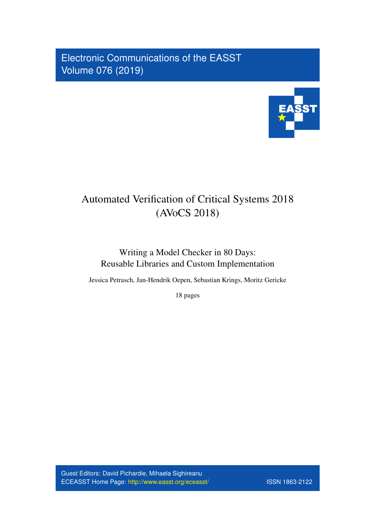Electronic Communications of the EASST Volume 076 (2019)



# Automated Verification of Critical Systems 2018 (AVoCS 2018)

# Writing a Model Checker in 80 Days: Reusable Libraries and Custom Implementation

Jessica Petrasch, Jan-Hendrik Oepen, Sebastian Krings, Moritz Gericke

18 pages

Guest Editors: David Pichardie, Mihaela Sighireanu ECEASST Home Page: <http://www.easst.org/eceasst/> ISSN 1863-2122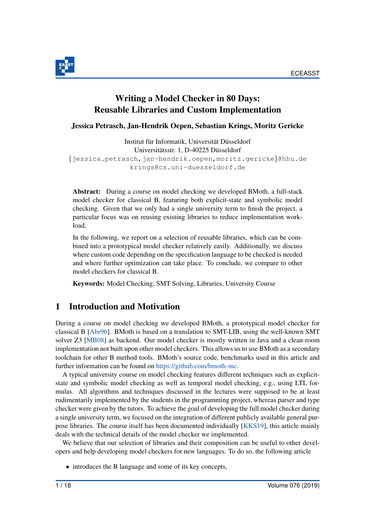

# Writing a Model Checker in 80 Days: Reusable Libraries and Custom Implementation

Jessica Petrasch, Jan-Hendrik Oepen, Sebastian Krings, Moritz Gericke

Institut für Informatik, Universität Düsseldorf Universitätsstr. 1, D-40225 Düsseldorf {jessica.petrasch,jan-hendrik.oepen,moritz.gericke}@hhu.de krings@cs.uni-duesseldorf.de

Abstract: During a course on model checking we developed BMoth, a full-stack model checker for classical B, featuring both explicit-state and symbolic model checking. Given that we only had a single university term to finish the project, a particular focus was on reusing existing libraries to reduce implementation workload.

In the following, we report on a selection of reusable libraries, which can be combined into a prototypical model checker relatively easily. Additionally, we discuss where custom code depending on the specification language to be checked is needed and where further optimization can take place. To conclude, we compare to other model checkers for classical B.

Keywords: Model Checking, SMT Solving, Libraries, University Course

# 1 Introduction and Motivation

During a course on model checking we developed BMoth, a prototypical model checker for classical B [\[Abr96\]](#page-16-0). BMoth is based on a translation to SMT-LIB, using the well-known SMT solver Z3 [\[MB08\]](#page-18-0) as backend. Our model checker is mostly written in Java and a clean-room implementation not built upon other model checkers. This allows us to use BMoth as a secondary toolchain for other B method tools. BMoth's source code, benchmarks used in this article and further information can be found on [https://github.com/bmoth-mc.](https://github.com/bmoth-mc)

A typical university course on model checking features different techniques such as explicitstate and symbolic model checking as well as temporal model checking, e.g., using LTL formulas. All algorithms and techniques discussed in the lectures were supposed to be at least rudimentarily implemented by the students in the programming project, whereas parser and type checker were given by the tutors. To achieve the goal of developing the full model checker during a single university term, we focused on the integration of different publicly available general purpose libraries. The course itself has been documented individually [\[KKS19\]](#page-17-0), this article mainly deals with the technical details of the model checker we implemented.

We believe that our selection of libraries and their composition can be useful to other developers and help developing model checkers for new languages. To do so, the following article

• introduces the B language and some of its key concepts,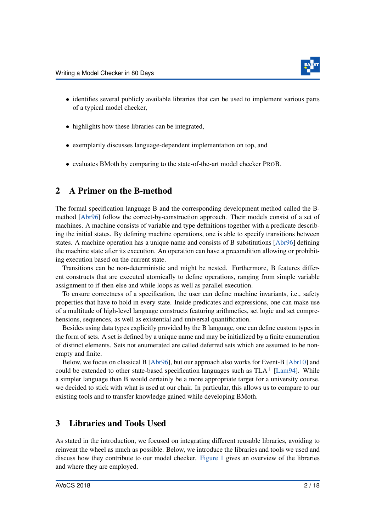

- identifies several publicly available libraries that can be used to implement various parts of a typical model checker,
- highlights how these libraries can be integrated,
- exemplarily discusses language-dependent implementation on top, and
- evaluates BMoth by comparing to the state-of-the-art model checker PROB.

# 2 A Primer on the B-method

The formal specification language B and the corresponding development method called the Bmethod [\[Abr96\]](#page-16-0) follow the correct-by-construction approach. Their models consist of a set of machines. A machine consists of variable and type definitions together with a predicate describing the initial states. By defining machine operations, one is able to specify transitions between states. A machine operation has a unique name and consists of B substitutions [\[Abr96\]](#page-16-0) defining the machine state after its execution. An operation can have a precondition allowing or prohibiting execution based on the current state.

Transitions can be non-deterministic and might be nested. Furthermore, B features different constructs that are executed atomically to define operations, ranging from simple variable assignment to if-then-else and while loops as well as parallel execution.

To ensure correctness of a specification, the user can define machine invariants, i.e., safety properties that have to hold in every state. Inside predicates and expressions, one can make use of a multitude of high-level language constructs featuring arithmetics, set logic and set comprehensions, sequences, as well as existential and universal quantification.

Besides using data types explicitly provided by the B language, one can define custom types in the form of sets. A set is defined by a unique name and may be initialized by a finite enumeration of distinct elements. Sets not enumerated are called deferred sets which are assumed to be nonempty and finite.

Below, we focus on classical B [\[Abr96\]](#page-16-0), but our approach also works for Event-B [\[Abr10\]](#page-16-1) and could be extended to other state-based specification languages such as  $TLA<sup>+</sup> [Lam94]$  $TLA<sup>+</sup> [Lam94]$ . While a simpler language than B would certainly be a more appropriate target for a university course, we decided to stick with what is used at our chair. In particular, this allows us to compare to our existing tools and to transfer knowledge gained while developing BMoth.

# 3 Libraries and Tools Used

As stated in the introduction, we focused on integrating different reusable libraries, avoiding to reinvent the wheel as much as possible. Below, we introduce the libraries and tools we used and discuss how they contribute to our model checker. [Figure 1](#page-4-0) gives an overview of the libraries and where they are employed.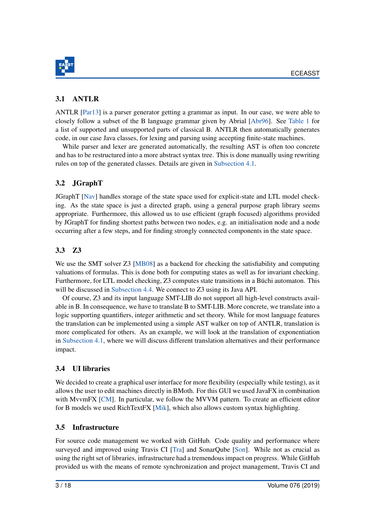

## 3.1 ANTLR

ANTLR [\[Par13\]](#page-18-1) is a parser generator getting a grammar as input. In our case, we were able to closely follow a subset of the B language grammar given by Abrial [\[Abr96\]](#page-16-0). See [Table 1](#page-7-0) for a list of supported and unsupported parts of classical B. ANTLR then automatically generates code, in our case Java classes, for lexing and parsing using accepting finite-state machines.

While parser and lexer are generated automatically, the resulting AST is often too concrete and has to be restructured into a more abstract syntax tree. This is done manually using rewriting rules on top of the generated classes. Details are given in [Subsection 4.1.](#page-4-1)

# 3.2 JGraphT

JGraphT [\[Nav\]](#page-18-2) handles storage of the state space used for explicit-state and LTL model checking. As the state space is just a directed graph, using a general purpose graph library seems appropriate. Furthermore, this allowed us to use efficient (graph focused) algorithms provided by JGraphT for finding shortest paths between two nodes, e.g. an initialisation node and a node occurring after a few steps, and for finding strongly connected components in the state space.

# 3.3 Z3

We use the SMT solver Z3 [\[MB08\]](#page-18-0) as a backend for checking the satisfiability and computing valuations of formulas. This is done both for computing states as well as for invariant checking. Furthermore, for LTL model checking, Z3 computes state transitions in a Büchi automaton. This will be discussed in [Subsection 4.4.](#page-8-0) We connect to Z3 using its Java API.

Of course, Z3 and its input language SMT-LIB do not support all high-level constructs available in B. In consequence, we have to translate B to SMT-LIB. More concrete, we translate into a logic supporting quantifiers, integer arithmetic and set theory. While for most language features the translation can be implemented using a simple AST walker on top of ANTLR, translation is more complicated for others. As an example, we will look at the translation of exponentiation in [Subsection 4.1,](#page-4-1) where we will discuss different translation alternatives and their performance impact.

# 3.4 UI libraries

We decided to create a graphical user interface for more flexibility (especially while testing), as it allows the user to edit machines directly in BMoth. For this GUI we used JavaFX in combination with MvvmFX [\[CM\]](#page-16-2). In particular, we follow the MVVM pattern. To create an efficient editor for B models we used RichTextFX [\[Mik\]](#page-18-3), which also allows custom syntax highlighting.

### 3.5 Infrastructure

For source code management we worked with GitHub. Code quality and performance where surveyed and improved using Travis CI [\[Tra\]](#page-18-4) and SonarQube [\[Son\]](#page-18-5). While not as crucial as using the right set of libraries, infrastructure had a tremendous impact on progress. While GitHub provided us with the means of remote synchronization and project management, Travis CI and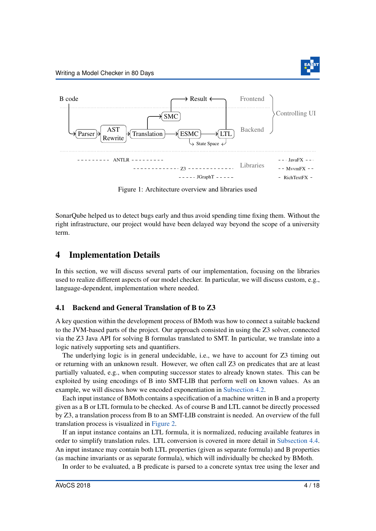<span id="page-4-0"></span>

Figure 1: Architecture overview and libraries used

SonarQube helped us to detect bugs early and thus avoid spending time fixing them. Without the right infrastructure, our project would have been delayed way beyond the scope of a university term.

### 4 Implementation Details

In this section, we will discuss several parts of our implementation, focusing on the libraries used to realize different aspects of our model checker. In particular, we will discuss custom, e.g., language-dependent, implementation where needed.

#### <span id="page-4-1"></span>4.1 Backend and General Translation of B to Z3

A key question within the development process of BMoth was how to connect a suitable backend to the JVM-based parts of the project. Our approach consisted in using the Z3 solver, connected via the Z3 Java API for solving B formulas translated to SMT. In particular, we translate into a logic natively supporting sets and quantifiers.

The underlying logic is in general undecidable, i.e., we have to account for Z3 timing out or returning with an unknown result. However, we often call Z3 on predicates that are at least partially valuated, e.g., when computing successor states to already known states. This can be exploited by using encodings of B into SMT-LIB that perform well on known values. As an example, we will discuss how we encoded exponentiation in [Subsection 4.2.](#page-6-0)

Each input instance of BMoth contains a specification of a machine written in B and a property given as a B or LTL formula to be checked. As of course B and LTL cannot be directly processed by Z3, a translation process from B to an SMT-LIB constraint is needed. An overview of the full translation process is visualized in [Figure 2.](#page-5-0)

If an input instance contains an LTL formula, it is normalized, reducing available features in order to simplify translation rules. LTL conversion is covered in more detail in [Subsection 4.4.](#page-8-0) An input instance may contain both LTL properties (given as separate formula) and B properties (as machine invariants or as separate formula), which will individually be checked by BMoth.

In order to be evaluated, a B predicate is parsed to a concrete syntax tree using the lexer and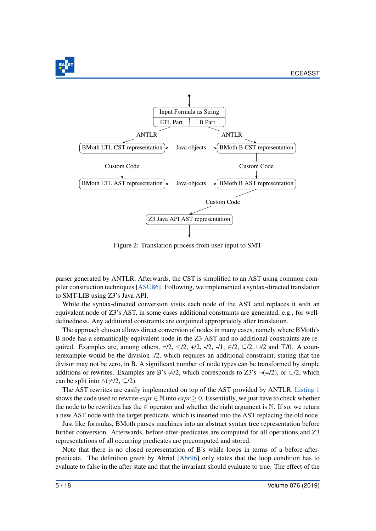

<span id="page-5-0"></span>

Figure 2: Translation process from user input to SMT

parser generated by ANTLR. Afterwards, the CST is simplified to an AST using common compiler construction techniques [\[ASU86\]](#page-16-3). Following, we implemented a syntax-directed translation to SMT-LIB using Z3's Java API.

While the syntax-directed conversion visits each node of the AST and replaces it with an equivalent node of Z3's AST, in some cases additional constraints are generated, e.g., for welldefinedness. Any additional constraints are conjoined appropriately after translation.

The approach chosen allows direct conversion of nodes in many cases, namely where BMoth's B node has a semantically equivalent node in the Z3 AST and no additional constraints are required. Examples are, among others,  $=$ /2,  $\leq$ /2,  $+$ /2,  $-$ /1,  $\in$ /2,  $\subseteq$ /2,  $\cup$ /2 and  $\top$ /0. A counterexample would be the division :/2, which requires an additional constraint, stating that the divisor may not be zero, in B. A significant number of node types can be transformed by simple additions or rewrites. Examples are B's  $\neq$ /2, which corresponds to Z3's ¬(=/2), or ⊂/2, which can be split into  $\land (\neq/2, \subseteq/2)$ .

The AST rewrites are easily implemented on top of the AST provided by ANTLR. [Listing 1](#page-6-1) shows the code used to rewrite  $exp r \in N$  into  $exp r > 0$ . Essentially, we just have to check whether the node to be rewritten has the  $\in$  operator and whether the right argument is N. If so, we return a new AST node with the target predicate, which is inserted into the AST replacing the old node.

Just like formulas, BMoth parses machines into an abstract syntax tree representation before further conversion. Afterwards, before-after-predicates are computed for all operations and Z3 representations of all occurring predicates are precomputed and stored.

Note that there is no closed representation of B's while loops in terms of a before-afterpredicate. The definition given by Abrial [\[Abr96\]](#page-16-0) only states that the loop condition has to evaluate to false in the after state and that the invariant should evaluate to true. The effect of the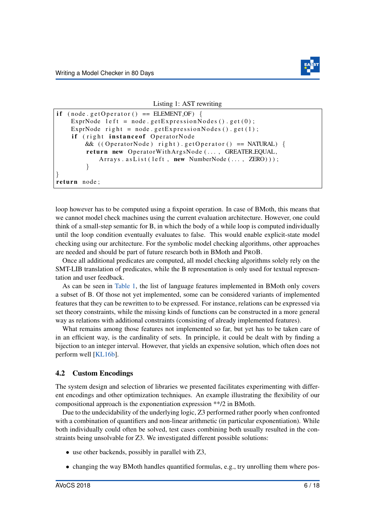

#### Listing 1: AST rewriting

```
if (node.getOperator() == ELEMENT_OF) {
    ExprNode left = node.getExpressionNodes().get(0);
    ExprNode right = node.getExpressionNodes().get(1);
    if (right instance of OperatorNode
        & ((\text{OperatorNode}) \text{ right}) \cdot \text{getOperator}() == \text{NATURAL})return new OperatorWithArgsNode (..., GREATER EQUAL,
             Arrays. as List (left, new NumberNode (\ldots, \text{ ZERO}));
         }
}
return node;
```
loop however has to be computed using a fixpoint operation. In case of BMoth, this means that we cannot model check machines using the current evaluation architecture. However, one could think of a small-step semantic for B, in which the body of a while loop is computed individually until the loop condition eventually evaluates to false. This would enable explicit-state model checking using our architecture. For the symbolic model checking algorithms, other approaches are needed and should be part of future research both in BMoth and PROB.

Once all additional predicates are computed, all model checking algorithms solely rely on the SMT-LIB translation of predicates, while the B representation is only used for textual representation and user feedback.

As can be seen in [Table 1,](#page-7-0) the list of language features implemented in BMoth only covers a subset of B. Of those not yet implemented, some can be considered variants of implemented features that they can be rewritten to to be expressed. For instance, relations can be expressed via set theory constraints, while the missing kinds of functions can be constructed in a more general way as relations with additional constraints (consisting of already implemented features).

What remains among those features not implemented so far, but yet has to be taken care of in an efficient way, is the cardinality of sets. In principle, it could be dealt with by finding a bijection to an integer interval. However, that yields an expensive solution, which often does not perform well [\[KL16b\]](#page-17-2).

#### <span id="page-6-0"></span>4.2 Custom Encodings

The system design and selection of libraries we presented facilitates experimenting with different encodings and other optimization techniques. An example illustrating the flexibility of our compositional approach is the exponentiation expression \*\*/2 in BMoth.

Due to the undecidability of the underlying logic, Z3 performed rather poorly when confronted with a combination of quantifiers and non-linear arithmetic (in particular exponentiation). While both individually could often be solved, test cases combining both usually resulted in the constraints being unsolvable for Z3. We investigated different possible solutions:

- use other backends, possibly in parallel with Z3,
- changing the way BMoth handles quantified formulas, e.g., try unrolling them where pos-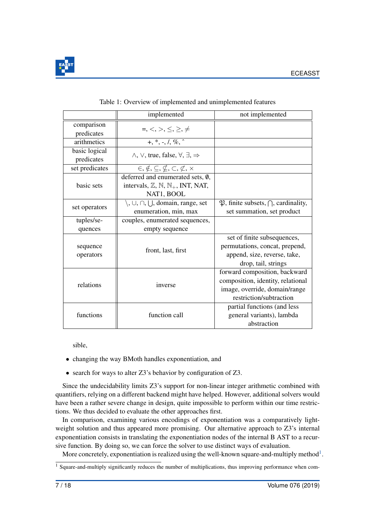

<span id="page-7-0"></span>

|                       | implemented                                                            | not implemented                                           |  |  |
|-----------------------|------------------------------------------------------------------------|-----------------------------------------------------------|--|--|
| comparison            | $=,<,>,\leq, \geq, \neq$                                               |                                                           |  |  |
| predicates            |                                                                        |                                                           |  |  |
| arithmetics           | $+, *, -, /, %$                                                        |                                                           |  |  |
| basic logical         | $\wedge$ , $\vee$ , true, false, $\forall$ , $\exists$ , $\Rightarrow$ |                                                           |  |  |
| predicates            |                                                                        |                                                           |  |  |
| set predicates        | $\in, \notin, \subseteq, \nsubseteq, \subset, \subset, \times$         |                                                           |  |  |
| basic sets            | deferred and enumerated sets, Ø,                                       |                                                           |  |  |
|                       | intervals, $\mathbb{Z}, \mathbb{N}, \mathbb{N}_+$ , INT, NAT,          |                                                           |  |  |
|                       | NAT1, BOOL                                                             |                                                           |  |  |
| set operators         | $\setminus$ , $\cup$ , $\cap$ , $\bigcup$ , domain, range, set         | $\mathfrak{P}$ , finite subsets, $\bigcap$ , cardinality, |  |  |
|                       | enumeration, min, max                                                  | set summation, set product                                |  |  |
| tuples/se-            | couples, enumerated sequences,                                         |                                                           |  |  |
| quences               | empty sequence                                                         |                                                           |  |  |
| sequence<br>operators |                                                                        | set of finite subsequences,                               |  |  |
|                       | front, last, first                                                     | permutations, concat, prepend,                            |  |  |
|                       |                                                                        | append, size, reverse, take,                              |  |  |
|                       |                                                                        | drop, tail, strings                                       |  |  |
| relations             |                                                                        | forward composition, backward                             |  |  |
|                       | inverse                                                                | composition, identity, relational                         |  |  |
|                       |                                                                        | image, override, domain/range                             |  |  |
|                       |                                                                        | restriction/subtraction                                   |  |  |
| functions             |                                                                        | partial functions (and less                               |  |  |
|                       | function call                                                          | general variants), lambda                                 |  |  |
|                       |                                                                        | abstraction                                               |  |  |

#### Table 1: Overview of implemented and unimplemented features

sible,

- changing the way BMoth handles exponentiation, and
- search for ways to alter Z3's behavior by configuration of Z3.

Since the undecidability limits Z3's support for non-linear integer arithmetic combined with quantifiers, relying on a different backend might have helped. However, additional solvers would have been a rather severe change in design, quite impossible to perform within our time restrictions. We thus decided to evaluate the other approaches first.

In comparison, examining various encodings of exponentiation was a comparatively lightweight solution and thus appeared more promising. Our alternative approach to Z3's internal exponentiation consists in translating the exponentiation nodes of the internal B AST to a recursive function. By doing so, we can force the solver to use distinct ways of evaluation.

More concretely, exponentiation is realized using the well-known square-and-multiply method<sup>[1](#page-7-1)</sup>.

<span id="page-7-1"></span> $\frac{1}{1}$  Square-and-multiply significantly reduces the number of multiplications, thus improving performance when com-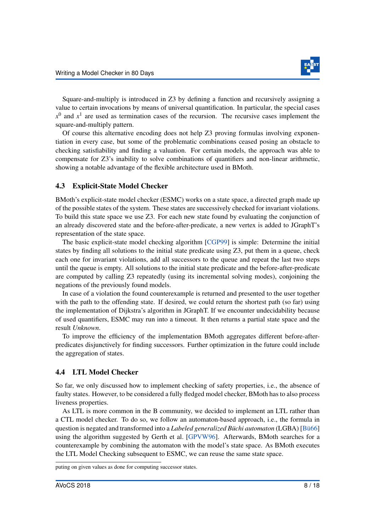

Square-and-multiply is introduced in Z3 by defining a function and recursively assigning a value to certain invocations by means of universal quantification. In particular, the special cases  $x^0$  and  $x^1$  are used as termination cases of the recursion. The recursive cases implement the square-and-multiply pattern.

Of course this alternative encoding does not help Z3 proving formulas involving exponentiation in every case, but some of the problematic combinations ceased posing an obstacle to checking satisfiability and finding a valuation. For certain models, the approach was able to compensate for Z3's inability to solve combinations of quantifiers and non-linear arithmetic, showing a notable advantage of the flexible architecture used in BMoth.

#### 4.3 Explicit-State Model Checker

BMoth's explicit-state model checker (ESMC) works on a state space, a directed graph made up of the possible states of the system. These states are successively checked for invariant violations. To build this state space we use Z3. For each new state found by evaluating the conjunction of an already discovered state and the before-after-predicate, a new vertex is added to JGraphT's representation of the state space.

The basic explicit-state model checking algorithm [\[CGP99\]](#page-16-4) is simple: Determine the initial states by finding all solutions to the initial state predicate using Z3, put them in a queue, check each one for invariant violations, add all successors to the queue and repeat the last two steps until the queue is empty. All solutions to the initial state predicate and the before-after-predicate are computed by calling Z3 repeatedly (using its incremental solving modes), conjoining the negations of the previously found models.

In case of a violation the found counterexample is returned and presented to the user together with the path to the offending state. If desired, we could return the shortest path (so far) using the implementation of Dijkstra's algorithm in JGraphT. If we encounter undecidability because of used quantifiers, ESMC may run into a timeout. It then returns a partial state space and the result *Unknown*.

To improve the efficiency of the implementation BMoth aggregates different before-afterpredicates disjunctively for finding successors. Further optimization in the future could include the aggregation of states.

#### <span id="page-8-0"></span>4.4 LTL Model Checker

So far, we only discussed how to implement checking of safety properties, i.e., the absence of faulty states. However, to be considered a fully fledged model checker, BMoth has to also process liveness properties.

As LTL is more common in the B community, we decided to implement an LTL rather than a CTL model checker. To do so, we follow an automaton-based approach, i.e., the formula in question is negated and transformed into a *Labeled generalized Büchi automaton* (LGBA) [Bü66] using the algorithm suggested by Gerth et al. [\[GPVW96\]](#page-17-3). Afterwards, BMoth searches for a counterexample by combining the automaton with the model's state space. As BMoth executes the LTL Model Checking subsequent to ESMC, we can reuse the same state space.

puting on given values as done for computing successor states.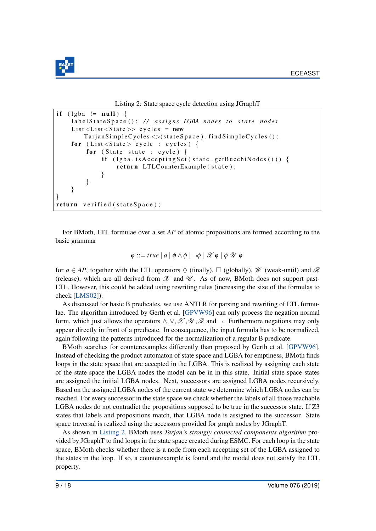

Listing 2: State space cycle detection using JGraphT

```
if (\text{lgba} := \text{null}) {
    labelStateSpace(); // assigns LGBA nodes to state nodes
    List < List < State > > cycle s = newTarjan SimpleCycles \ll (state Space). find Simple Cycles ();
    for (List < State > cycle : cycles) {
         for (State state : cycle) {
             if (lyba.isAcceptingSet(<b>state.getBuechiNodes()</b>))return LTLCounterExample (state);
             }
         }
    }
}
return verified (stateSpace);
```
For BMoth, LTL formulae over a set *AP* of atomic propositions are formed according to the basic grammar

$$
\phi ::= true \mid a \mid \phi \land \phi \mid \neg \phi \mid \mathcal{X} \phi \mid \phi \mathcal{U} \phi
$$

for  $a \in AP$ , together with the LTL operators  $\Diamond$  (finally),  $\Box$  (globally),  $\mathscr W$  (weak-until) and  $\mathscr R$ (release), which are all derived from  $\mathscr X$  and  $\mathscr U$ . As of now, BMoth does not support past-LTL. However, this could be added using rewriting rules (increasing the size of the formulas to check [\[LMS02\]](#page-17-4)).

As discussed for basic B predicates, we use ANTLR for parsing and rewriting of LTL formulae. The algorithm introduced by Gerth et al. [\[GPVW96\]](#page-17-3) can only process the negation normal form, which just allows the operators  $\wedge, \vee, \mathcal{X}, \mathcal{U}, \mathcal{R}$  and  $\neg$ . Furthermore negations may only appear directly in front of a predicate. In consequence, the input formula has to be normalized, again following the patterns introduced for the normalization of a regular B predicate.

BMoth searches for counterexamples differently than proposed by Gerth et al. [\[GPVW96\]](#page-17-3). Instead of checking the product automaton of state space and LGBA for emptiness, BMoth finds loops in the state space that are accepted in the LGBA. This is realized by assigning each state of the state space the LGBA nodes the model can be in in this state. Initial state space states are assigned the initial LGBA nodes. Next, successors are assigned LGBA nodes recursively. Based on the assigned LGBA nodes of the current state we determine which LGBA nodes can be reached. For every successor in the state space we check whether the labels of all those reachable LGBA nodes do not contradict the propositions supposed to be true in the successor state. If Z3 states that labels and propositions match, that LGBA node is assigned to the successor. State space traversal is realized using the accessors provided for graph nodes by JGraphT.

As shown in [Listing 2,](#page-9-0) BMoth uses *Tarjan's strongly connected components algorithm* provided by JGraphT to find loops in the state space created during ESMC. For each loop in the state space, BMoth checks whether there is a node from each accepting set of the LGBA assigned to the states in the loop. If so, a counterexample is found and the model does not satisfy the LTL property.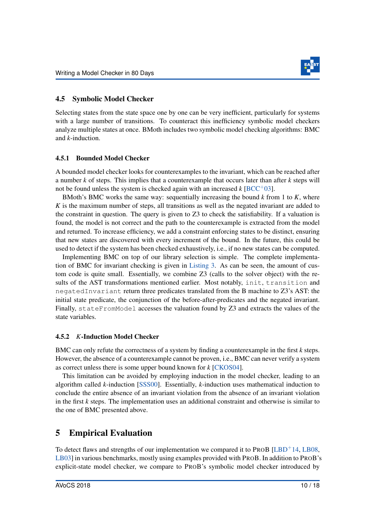

### 4.5 Symbolic Model Checker

Selecting states from the state space one by one can be very inefficient, particularly for systems with a large number of transitions. To counteract this inefficiency symbolic model checkers analyze multiple states at once. BMoth includes two symbolic model checking algorithms: BMC and *k*-induction.

#### 4.5.1 Bounded Model Checker

A bounded model checker looks for counterexamples to the invariant, which can be reached after a number *k* of steps. This implies that a counterexample that occurs later than after *k* steps will not be found unless the system is checked again with an increased  $k$  [\[BCC](#page-16-6)<sup>+</sup>03].

BMoth's BMC works the same way: sequentially increasing the bound *k* from 1 to *K*, where *K* is the maximum number of steps, all transitions as well as the negated invariant are added to the constraint in question. The query is given to Z3 to check the satisfiability. If a valuation is found, the model is not correct and the path to the counterexample is extracted from the model and returned. To increase efficiency, we add a constraint enforcing states to be distinct, ensuring that new states are discovered with every increment of the bound. In the future, this could be used to detect if the system has been checked exhaustively, i.e., if no new states can be computed.

Implementing BMC on top of our library selection is simple. The complete implementation of BMC for invariant checking is given in [Listing 3.](#page-11-0) As can be seen, the amount of custom code is quite small. Essentially, we combine Z3 (calls to the solver object) with the results of the AST transformations mentioned earlier. Most notably, init, transition and negatedInvariant return three predicates translated from the B machine to Z3's AST: the initial state predicate, the conjunction of the before-after-predicates and the negated invariant. Finally, stateFromModel accesses the valuation found by Z3 and extracts the values of the state variables.

#### 4.5.2 *K*-Induction Model Checker

BMC can only refute the correctness of a system by finding a counterexample in the first *k* steps. However, the absence of a counterexample cannot be proven, i.e., BMC can never verify a system as correct unless there is some upper bound known for *k* [\[CKOS04\]](#page-16-7).

This limitation can be avoided by employing induction in the model checker, leading to an algorithm called *k*-induction [\[SSS00\]](#page-18-6). Essentially, *k*-induction uses mathematical induction to conclude the entire absence of an invariant violation from the absence of an invariant violation in the first *k* steps. The implementation uses an additional constraint and otherwise is similar to the one of BMC presented above.

# 5 Empirical Evaluation

To detect flaws and strengths of our implementation we compared it to PROB  $[{\rm LBD}^+14, {\rm LBO8}]$ [LB03\]](#page-17-7) in various benchmarks, mostly using examples provided with PROB. In addition to PROB's explicit-state model checker, we compare to PROB's symbolic model checker introduced by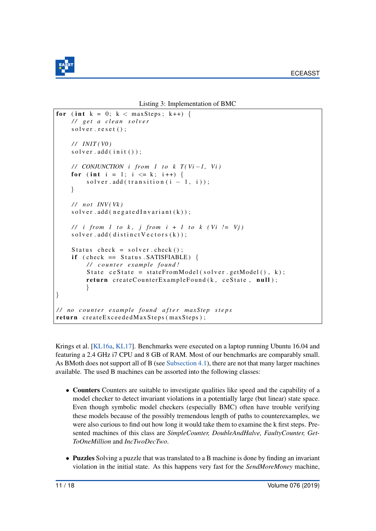

Listing 3: Implementation of BMC

```
for (int k = 0; k < maxSteps; k++) {
    / / g e t a c l e a n s o l v e r
    solver.reset();
    / / IN IT ( V0 )
    so l v e r. add (init());
    // CONJUNCTION i from 1 to k T(Vi-1, Vi)for (int i = 1; i \leq k; i++) {
         solver. add (transition (i - 1, i));
    }
    / / n ot INV ( Vk )
    so l v e r. add ( n e g a t e d I n v a r i a n t (k) );
    // i from 1 to k, j from i + 1 to k (Vi != Vj)
    solver. add ( distinct V ectors (k));
    Status check = solver.check();
    if ( check == Status . SATISFIABLE) {
         / / c o u n t e r ex am ple f o u n d !
         State ceState = stateFromModel(solver.getModel(), k);
         return createCounterExampleFound (k, ceState, null);
         }
}
/ / no c o u n t e r ex am ple f o u n d a f t e r m ax Ste p s t e p s
return createExceededMaxSteps (maxSteps);
```
Krings et al. [\[KL16a,](#page-17-8) [KL17\]](#page-17-9). Benchmarks were executed on a laptop running Ubuntu 16.04 and featuring a 2.4 GHz i7 CPU and 8 GB of RAM. Most of our benchmarks are comparably small. As BMoth does not support all of B (see [Subsection 4.1\)](#page-4-1), there are not that many larger machines available. The used B machines can be assorted into the following classes:

- Counters Counters are suitable to investigate qualities like speed and the capability of a model checker to detect invariant violations in a potentially large (but linear) state space. Even though symbolic model checkers (especially BMC) often have trouble verifying these models because of the possibly tremendous length of paths to counterexamples, we were also curious to find out how long it would take them to examine the k first steps. Presented machines of this class are *SimpleCounter, DoubleAndHalve, FaultyCounter, Get-ToOneMillion* and *IncTwoDecTwo*.
- Puzzles Solving a puzzle that was translated to a B machine is done by finding an invariant violation in the initial state. As this happens very fast for the *SendMoreMoney* machine,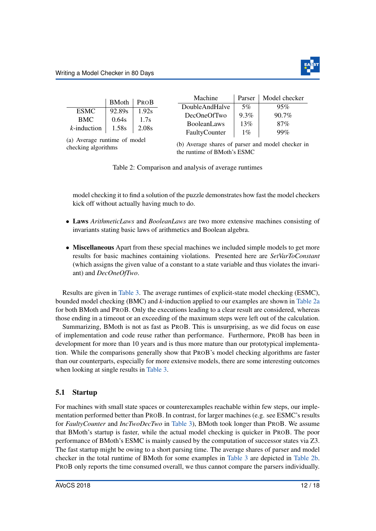<span id="page-12-0"></span>

|                                                                         | <b>BMoth</b> | PROB  | Machine            | Parser  | Model checker |  |  |
|-------------------------------------------------------------------------|--------------|-------|--------------------|---------|---------------|--|--|
|                                                                         |              |       | DoubleAndHalve     | $5\%$   | 95%           |  |  |
| <b>ESMC</b>                                                             | 92.89s       | 1.92s | DecOneOfTwo        | $9.3\%$ | 90.7%         |  |  |
| <b>BMC</b>                                                              | 0.64s        | 1.7s  | <b>BooleanLaws</b> | 13%     | 87%           |  |  |
| $k$ -induction                                                          | 1.58s        | 2.08s |                    |         |               |  |  |
| 99%<br>$1\%$<br>FaultyCounter<br>$(a)$ Arranges must negative $f$ model |              |       |                    |         |               |  |  |

(a) Average runtime of model checking algorithms

(b) Average shares of parser and model checker in the runtime of BMoth's ESMC

Table 2: Comparison and analysis of average runtimes

model checking it to find a solution of the puzzle demonstrates how fast the model checkers kick off without actually having much to do.

- Laws *ArithmeticLaws* and *BooleanLaws* are two more extensive machines consisting of invariants stating basic laws of arithmetics and Boolean algebra.
- Miscellaneous Apart from these special machines we included simple models to get more results for basic machines containing violations. Presented here are *SetVarToConstant* (which assigns the given value of a constant to a state variable and thus violates the invariant) and *DecOneOfTwo*.

Results are given in [Table 3.](#page-13-0) The average runtimes of explicit-state model checking (ESMC), bounded model checking (BMC) and *k*-induction applied to our examples are shown in [Table 2a](#page-12-0) for both BMoth and PROB. Only the executions leading to a clear result are considered, whereas those ending in a timeout or an exceeding of the maximum steps were left out of the calculation.

Summarizing, BMoth is not as fast as PROB. This is unsurprising, as we did focus on ease of implementation and code reuse rather than performance. Furthermore, PROB has been in development for more than 10 years and is thus more mature than our prototypical implementation. While the comparisons generally show that PROB's model checking algorithms are faster than our counterparts, especially for more extensive models, there are some interesting outcomes when looking at single results in [Table 3.](#page-13-0)

### 5.1 Startup

For machines with small state spaces or counterexamples reachable within few steps, our implementation performed better than PROB. In contrast, for larger machines (e.g. see ESMC's results for *FaultyCounter* and *IncTwoDecTwo* in [Table 3\)](#page-13-0), BMoth took longer than PROB. We assume that BMoth's startup is faster, while the actual model checking is quicker in PROB. The poor performance of BMoth's ESMC is mainly caused by the computation of successor states via Z3. The fast startup might be owing to a short parsing time. The average shares of parser and model checker in the total runtime of BMoth for some examples in [Table 3](#page-13-0) are depicted in [Table 2b.](#page-12-0) PROB only reports the time consumed overall, we thus cannot compare the parsers individually.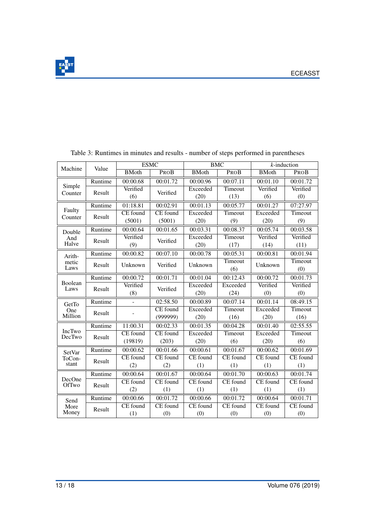

| Machine                   | Value   | <b>ESMC</b>     |                 | <b>BMC</b>      |                       | $k$ -induction  |                 |
|---------------------------|---------|-----------------|-----------------|-----------------|-----------------------|-----------------|-----------------|
|                           |         | <b>BMoth</b>    | PROB            | <b>BMoth</b>    | PROB                  | <b>BMoth</b>    | PROB            |
| Simple<br>Counter         | Runtime | 00:00.68        | 00:01.72        | 00:00.96        | 00:07.11              | 00:01.10        | 00:01.72        |
|                           | Result  | Verified        | Verified        | Exceeded        | Timeout               | Verified        | Verified        |
|                           |         | (6)             |                 | (20)            | (13)                  | (6)             | (0)             |
| Faulty<br>Counter         | Runtime | 01:18.81        | 00:02.91        | 00:01.13        | 00:05.77              | 00:01.27        | 07:27.97        |
|                           | Result  | <b>CE</b> found | <b>CE</b> found | Exceeded        | Timeout               | Exceeded        | Timeout         |
|                           |         | (5001)          | (5001)          | (20)            | (9)                   | (20)            | (9)             |
| Double<br>And<br>Halve    | Runtime | 00:00.64        | 00:01.65        | 00:03.31        | 00:08.37              | 00:05.74        | 00:03.58        |
|                           | Result  | Verified        | Verified        | Exceeded        | Timeout               | Verified        | Verified        |
|                           |         | (9)             |                 | (20)            | (17)                  | (14)            | (11)            |
| Arith-<br>metic<br>Laws   | Runtime | 00:00.82        | 00:07.10        | 00:00.78        | 00:05.31              | 00:00.81        | 00:01.94        |
|                           | Result  | Unknown         | Verified        | Unknown         | Timeout               | Unknown         | <b>Timeout</b>  |
|                           |         |                 |                 |                 | (6)                   |                 | (0)             |
| Boolean<br>Laws           | Runtime | 00:00.72        | 00:01.71        | 00:01.04        | $\overline{00:}12.43$ | 00:00.72        | 00:01.73        |
|                           | Result  | Verified        | Verified        | Exceeded        | Exceeded              | Verified        | Verified        |
|                           |         | (8)             |                 | (20)            | (24)                  | (0)             | (0)             |
| GetTo<br>One<br>Million   | Runtime |                 | 02:58.50        | 00:00.89        | 00:07.14              | 00:01.14        | 08:49.15        |
|                           | Result  |                 | <b>CE</b> found | Exceeded        | Timeout               | Exceeded        | Timeout         |
|                           |         |                 | (999999)        | (20)            | (16)                  | (20)            | (16)            |
| <b>IncTwo</b><br>DecTwo   | Runtime | 11:00.31        | 00:02.33        | 00:01.35        | 00:04.28              | 00:01.40        | 02:55.55        |
|                           | Result  | <b>CE</b> found | <b>CE</b> found | Exceeded        | Timeout               | Exceeded        | Timeout         |
|                           |         | (19819)         | (203)           | (20)            | (6)                   | (20)            | (6)             |
| SetVar<br>ToCon-<br>stant | Runtime | 00:00.62        | 00:01.66        | 00:00.61        | 00:01.67              | 00:00.62        | 00:01.69        |
|                           | Result  | <b>CE</b> found | CE found        | <b>CE</b> found | <b>CE</b> found       | CE found        | <b>CE</b> found |
|                           |         | (2)             | (2)             | (1)             | (1)                   | (1)             | (1)             |
| DecOne<br>OfTwo           | Runtime | 00:00.64        | 00:01.67        | 00:00.64        | 00:01.70              | 00:00.63        | 00:01.74        |
|                           | Result  | <b>CE</b> found | <b>CE</b> found | <b>CE</b> found | <b>CE</b> found       | <b>CE</b> found | <b>CE</b> found |
|                           |         | (2)             | (1)             | (1)             | (1)                   | (1)             | (1)             |
| Send<br>More<br>Money     | Runtime | 00:00.66        | 00:01.72        | 00:00.66        | 00:01.72              | 00:00.64        | 00:01.71        |
|                           | Result  | <b>CE</b> found | <b>CE</b> found | <b>CE</b> found | <b>CE</b> found       | <b>CE</b> found | <b>CE</b> found |
|                           |         | (1)             | (0)             | (0)             | (0)                   | (0)             | (0)             |

<span id="page-13-0"></span>Table 3: Runtimes in minutes and results - number of steps performed in parentheses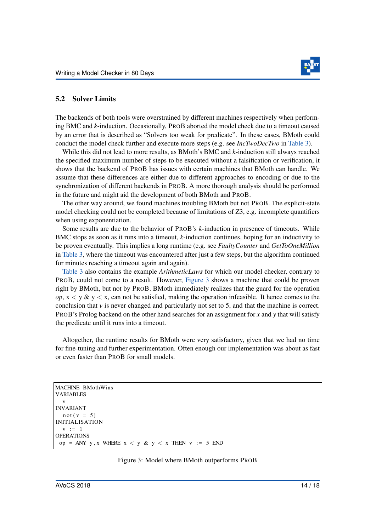

#### 5.2 Solver Limits

The backends of both tools were overstrained by different machines respectively when performing BMC and *k*-induction. Occasionally, PROB aborted the model check due to a timeout caused by an error that is described as "Solvers too weak for predicate". In these cases, BMoth could conduct the model check further and execute more steps (e.g. see *IncTwoDecTwo* in [Table 3\)](#page-13-0).

While this did not lead to more results, as BMoth's BMC and *k*-induction still always reached the specified maximum number of steps to be executed without a falsification or verification, it shows that the backend of PROB has issues with certain machines that BMoth can handle. We assume that these differences are either due to different approaches to encoding or due to the synchronization of different backends in PROB. A more thorough analysis should be performed in the future and might aid the development of both BMoth and PROB.

The other way around, we found machines troubling BMoth but not PROB. The explicit-state model checking could not be completed because of limitations of Z3, e.g. incomplete quantifiers when using exponentiation.

Some results are due to the behavior of PROB's *k*-induction in presence of timeouts. While BMC stops as soon as it runs into a timeout, *k*-induction continues, hoping for an inductivity to be proven eventually. This implies a long runtime (e.g. see *FaultyCounter* and *GetToOneMillion* in [Table 3,](#page-13-0) where the timeout was encountered after just a few steps, but the algorithm continued for minutes reaching a timeout again and again).

[Table 3](#page-13-0) also contains the example *ArithmeticLaws* for which our model checker, contrary to PROB, could not come to a result. However, [Figure 3](#page-14-0) shows a machine that could be proven right by BMoth, but not by PROB. BMoth immediately realizes that the guard for the operation *op*,  $x < y \& y < x$ , can not be satisfied, making the operation infeasible. It hence comes to the conclusion that  $\nu$  is never changed and particularly not set to 5, and that the machine is correct. PROB's Prolog backend on the other hand searches for an assignment for *x* and *y* that will satisfy the predicate until it runs into a timeout.

Altogether, the runtime results for BMoth were very satisfactory, given that we had no time for fine-tuning and further experimentation. Often enough our implementation was about as fast or even faster than PROB for small models.

```
MACHINE BMothWins
VARIABLES
  v
INVARIANT
  not (v = 5)INITIALISATION
  v := 1OPERATIONS
 op = ANY y, x WHERE x < y \& y < x THEN v := 5 END
```
#### Figure 3: Model where BMoth outperforms PROB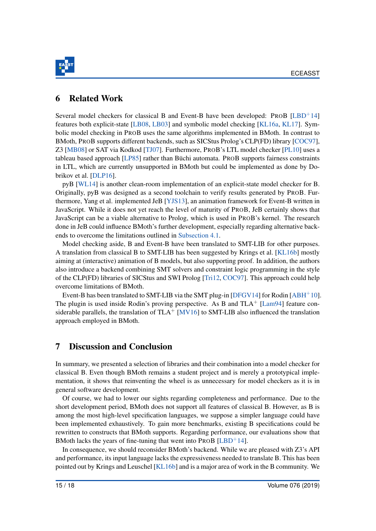

### 6 Related Work

Several model checkers for classical B and Event-B have been developed: PROB  $[LED<sup>+14]</sup>$ features both explicit-state [\[LB08,](#page-17-6) [LB03\]](#page-17-7) and symbolic model checking [\[KL16a,](#page-17-8) [KL17\]](#page-17-9). Symbolic model checking in PROB uses the same algorithms implemented in BMoth. In contrast to BMoth, PROB supports different backends, such as SICStus Prolog's CLP(FD) library [\[COC97\]](#page-17-10), Z3 [\[MB08\]](#page-18-0) or SAT via Kodkod [\[TJ07\]](#page-18-7). Furthermore, PROB's LTL model checker [\[PL10\]](#page-18-8) uses a tableau based approach  $[LP85]$  rather than Büchi automata. PROB supports fairness constraints in LTL, which are currently unsupported in BMoth but could be implemented as done by Dobrikov et al. [\[DLP16\]](#page-17-11).

pyB [\[WL14\]](#page-18-10) is another clean-room implementation of an explicit-state model checker for B. Originally, pyB was designed as a second toolchain to verify results generated by PROB. Furthermore, Yang et al. implemented JeB [\[YJS13\]](#page-18-11), an animation framework for Event-B written in JavaScript. While it does not yet reach the level of maturity of PROB, JeB certainly shows that JavaScript can be a viable alternative to Prolog, which is used in PROB's kernel. The research done in JeB could influence BMoth's further development, especially regarding alternative backends to overcome the limitations outlined in [Subsection 4.1.](#page-4-1)

Model checking aside, B and Event-B have been translated to SMT-LIB for other purposes. A translation from classical B to SMT-LIB has been suggested by Krings et al. [\[KL16b\]](#page-17-2) mostly aiming at (interactive) animation of B models, but also supporting proof. In addition, the authors also introduce a backend combining SMT solvers and constraint logic programming in the style of the CLP(FD) libraries of SICStus and SWI Prolog [\[Tri12,](#page-18-12) [COC97\]](#page-17-10). This approach could help overcome limitations of BMoth.

Event-B has been translated to SMT-LIB via the SMT plug-in [\[DFGV14\]](#page-17-12) for Rodin  $[ABH^+10]$  $[ABH^+10]$ . The plugin is used inside Rodin's proving perspective. As B and  $TLA<sup>+</sup> [Lam94]$  $TLA<sup>+</sup> [Lam94]$  feature considerable parallels, the translation of  $TLA+$  [\[MV16\]](#page-18-13) to SMT-LIB also influenced the translation approach employed in BMoth.

### 7 Discussion and Conclusion

In summary, we presented a selection of libraries and their combination into a model checker for classical B. Even though BMoth remains a student project and is merely a prototypical implementation, it shows that reinventing the wheel is as unnecessary for model checkers as it is in general software development.

Of course, we had to lower our sights regarding completeness and performance. Due to the short development period, BMoth does not support all features of classical B. However, as B is among the most high-level specification languages, we suppose a simpler language could have been implemented exhaustively. To gain more benchmarks, existing B specifications could be rewritten to constructs that BMoth supports. Regarding performance, our evaluations show that BMoth lacks the years of fine-tuning that went into  $PROB$  [\[LBD](#page-17-5)<sup>+</sup>14].

In consequence, we should reconsider BMoth's backend. While we are pleased with Z3's API and performance, its input language lacks the expressiveness needed to translate B. This has been pointed out by Krings and Leuschel [\[KL16b\]](#page-17-2) and is a major area of work in the B community. We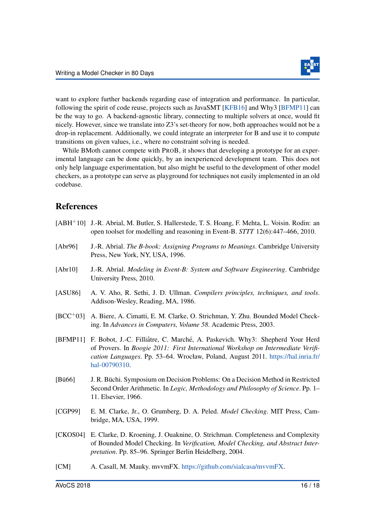

want to explore further backends regarding ease of integration and performance. In particular, following the spirit of code reuse, projects such as JavaSMT [\[KFB16\]](#page-17-13) and Why3 [\[BFMP11\]](#page-16-9) can be the way to go. A backend-agnostic library, connecting to multiple solvers at once, would fit nicely. However, since we translate into Z3's set-theory for now, both approaches would not be a drop-in replacement. Additionally, we could integrate an interpreter for B and use it to compute transitions on given values, i.e., where no constraint solving is needed.

While BMoth cannot compete with PROB, it shows that developing a prototype for an experimental language can be done quickly, by an inexperienced development team. This does not only help language experimentation, but also might be useful to the development of other model checkers, as a prototype can serve as playground for techniques not easily implemented in an old codebase.

### References

- <span id="page-16-8"></span><span id="page-16-6"></span><span id="page-16-3"></span><span id="page-16-1"></span><span id="page-16-0"></span>[ABH+10] J.-R. Abrial, M. Butler, S. Hallerstede, T. S. Hoang, F. Mehta, L. Voisin. Rodin: an open toolset for modelling and reasoning in Event-B. *STTT* 12(6):447–466, 2010. [Abr96] J.-R. Abrial. *The B-book: Assigning Programs to Meanings*. Cambridge University Press, New York, NY, USA, 1996. [Abr10] J.-R. Abrial. *Modeling in Event-B: System and Software Engineering*. Cambridge University Press, 2010. [ASU86] A. V. Aho, R. Sethi, J. D. Ullman. *Compilers principles, techniques, and tools*. Addison-Wesley, Reading, MA, 1986. [BCC+03] A. Biere, A. Cimatti, E. M. Clarke, O. Strichman, Y. Zhu. Bounded Model Checking. In *Advances in Computers, Volume 58*. Academic Press, 2003. [BFMP11] F. Bobot, J.-C. Filliâtre, C. Marché, A. Paskevich. Why3: Shepherd Your Herd of Provers. In *Boogie 2011: First International Workshop on Intermediate Verification Languages*. Pp. 53–64. Wrocław, Poland, August 2011. [https://hal.inria.fr/](https://hal.inria.fr/hal-00790310) [hal-00790310.](https://hal.inria.fr/hal-00790310) [Bü66] I. R. Büchi. Symposium on Decision Problems: On a Decision Method in Restricted Second Order Arithmetic. In *Logic, Methodology and Philosophy of Science*. Pp. 1– 11. Elsevier, 1966. [CGP99] E. M. Clarke, Jr., O. Grumberg, D. A. Peled. *Model Checking*. MIT Press, Cambridge, MA, USA, 1999.
- <span id="page-16-9"></span><span id="page-16-7"></span><span id="page-16-5"></span><span id="page-16-4"></span>[CKOS04] E. Clarke, D. Kroening, J. Ouaknine, O. Strichman. Completeness and Complexity of Bounded Model Checking. In *Verification, Model Checking, and Abstract Interpretation*. Pp. 85–96. Springer Berlin Heidelberg, 2004.
- <span id="page-16-2"></span>[CM] A. Casall, M. Mauky. mvvmFX. [https://github.com/sialcasa/mvvmFX.](https://github.com/sialcasa/mvvmFX)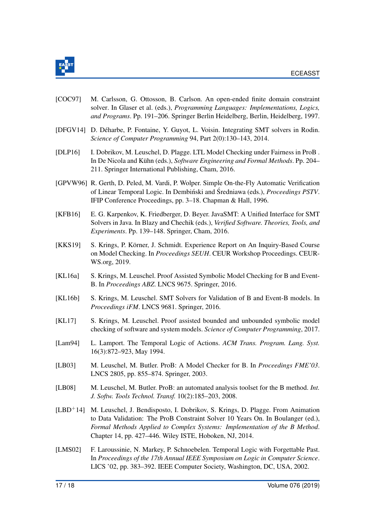

- <span id="page-17-10"></span>[COC97] M. Carlsson, G. Ottosson, B. Carlson. An open-ended finite domain constraint solver. In Glaser et al. (eds.), *Programming Languages: Implementations, Logics, and Programs*. Pp. 191–206. Springer Berlin Heidelberg, Berlin, Heidelberg, 1997.
- <span id="page-17-12"></span>[DFGV14] D. Déharbe, P. Fontaine, Y. Guyot, L. Voisin. Integrating SMT solvers in Rodin. *Science of Computer Programming* 94, Part 2(0):130–143, 2014.
- <span id="page-17-11"></span>[DLP16] I. Dobrikov, M. Leuschel, D. Plagge. LTL Model Checking under Fairness in ProB . In De Nicola and Kühn (eds.), *Software Engineering and Formal Methods*. Pp. 204– 211. Springer International Publishing, Cham, 2016.
- <span id="page-17-3"></span>[GPVW96] R. Gerth, D. Peled, M. Vardi, P. Wolper. Simple On-the-Fly Automatic Verification of Linear Temporal Logic. In Dembinski and Średniawa (eds.), *Proceedings PSTV*. IFIP Conference Proceedings, pp. 3–18. Chapman & Hall, 1996.
- <span id="page-17-13"></span>[KFB16] E. G. Karpenkov, K. Friedberger, D. Beyer. JavaSMT: A Unified Interface for SMT Solvers in Java. In Blazy and Chechik (eds.), *Verified Software. Theories, Tools, and Experiments*. Pp. 139–148. Springer, Cham, 2016.
- <span id="page-17-0"></span>[KKS19] S. Krings, P. Körner, J. Schmidt. Experience Report on An Inquiry-Based Course on Model Checking. In *Proceedings SEUH*. CEUR Workshop Proceedings. CEUR-WS.org, 2019.
- <span id="page-17-8"></span>[KL16a] S. Krings, M. Leuschel. Proof Assisted Symbolic Model Checking for B and Event-B. In *Proceedings ABZ*. LNCS 9675. Springer, 2016.
- <span id="page-17-2"></span>[KL16b] S. Krings, M. Leuschel. SMT Solvers for Validation of B and Event-B models. In *Proceedings iFM*. LNCS 9681. Springer, 2016.
- <span id="page-17-9"></span>[KL17] S. Krings, M. Leuschel. Proof assisted bounded and unbounded symbolic model checking of software and system models. *Science of Computer Programming*, 2017.
- <span id="page-17-1"></span>[Lam94] L. Lamport. The Temporal Logic of Actions. *ACM Trans. Program. Lang. Syst.* 16(3):872–923, May 1994.
- <span id="page-17-7"></span>[LB03] M. Leuschel, M. Butler. ProB: A Model Checker for B. In *Proceedings FME'03*. LNCS 2805, pp. 855–874. Springer, 2003.
- <span id="page-17-6"></span>[LB08] M. Leuschel, M. Butler. ProB: an automated analysis toolset for the B method. *Int. J. Softw. Tools Technol. Transf.* 10(2):185–203, 2008.
- <span id="page-17-5"></span>[LBD+14] M. Leuschel, J. Bendisposto, I. Dobrikov, S. Krings, D. Plagge. From Animation to Data Validation: The ProB Constraint Solver 10 Years On. In Boulanger (ed.), *Formal Methods Applied to Complex Systems: Implementation of the B Method*. Chapter 14, pp. 427–446. Wiley ISTE, Hoboken, NJ, 2014.
- <span id="page-17-4"></span>[LMS02] F. Laroussinie, N. Markey, P. Schnoebelen. Temporal Logic with Forgettable Past. In *Proceedings of the 17th Annual IEEE Symposium on Logic in Computer Science*. LICS '02, pp. 383–392. IEEE Computer Society, Washington, DC, USA, 2002.